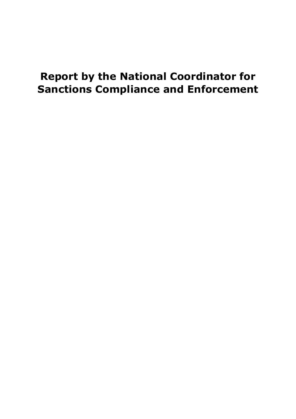# **Report by the National Coordinator for Sanctions Compliance and Enforcement**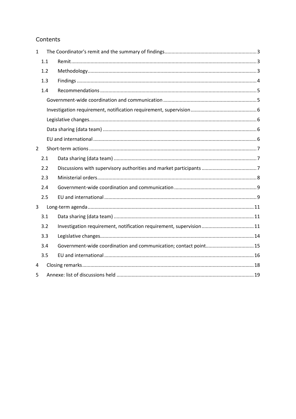# Contents

| $\mathbf{1}$   |     |                                                                  |  |
|----------------|-----|------------------------------------------------------------------|--|
|                | 1.1 |                                                                  |  |
|                | 1.2 |                                                                  |  |
|                | 1.3 |                                                                  |  |
|                | 1.4 |                                                                  |  |
|                |     |                                                                  |  |
|                |     |                                                                  |  |
|                |     |                                                                  |  |
|                |     |                                                                  |  |
|                |     |                                                                  |  |
| $\overline{2}$ |     |                                                                  |  |
|                | 2.1 |                                                                  |  |
|                | 2.2 |                                                                  |  |
|                | 2.3 |                                                                  |  |
|                | 2.4 |                                                                  |  |
|                | 2.5 |                                                                  |  |
| 3              |     |                                                                  |  |
|                | 3.1 |                                                                  |  |
|                | 3.2 |                                                                  |  |
|                | 3.3 |                                                                  |  |
|                | 3.4 | Government-wide coordination and communication; contact point 15 |  |
|                | 3.5 |                                                                  |  |
| 4              |     |                                                                  |  |
| 5              |     |                                                                  |  |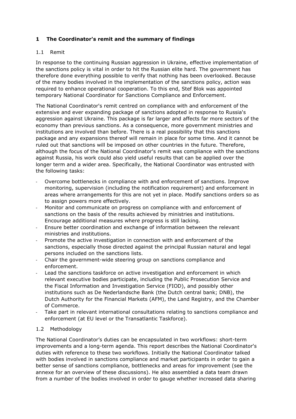## <span id="page-2-0"></span>**1 The Coordinator's remit and the summary of findings**

## <span id="page-2-1"></span>1.1 Remit

In response to the continuing Russian aggression in Ukraine, effective implementation of the sanctions policy is vital in order to hit the Russian elite hard. The government has therefore done everything possible to verify that nothing has been overlooked. Because of the many bodies involved in the implementation of the sanctions policy, action was required to enhance operational cooperation. To this end, Stef Blok was appointed temporary National Coordinator for Sanctions Compliance and Enforcement.

The National Coordinator's remit centred on compliance with and enforcement of the extensive and ever expanding package of sanctions adopted in response to Russia's aggression against Ukraine. This package is far larger and affects far more sectors of the economy than previous sanctions. As a consequence, more government ministries and institutions are involved than before. There is a real possibility that this sanctions package and any expansions thereof will remain in place for some time. And it cannot be ruled out that sanctions will be imposed on other countries in the future. Therefore, although the focus of the National Coordinator's remit was compliance with the sanctions against Russia, his work could also yield useful results that can be applied over the longer term and a wider area. Specifically, the National Coordinator was entrusted with the following tasks:

- Overcome bottlenecks in compliance with and enforcement of sanctions. Improve monitoring, supervision (including the notification requirement) and enforcement in areas where arrangements for this are not yet in place. Modify sanctions orders so as to assign powers more effectively.
- Monitor and communicate on progress on compliance with and enforcement of sanctions on the basis of the results achieved by ministries and institutions. Encourage additional measures where progress is still lacking.
- Ensure better coordination and exchange of information between the relevant ministries and institutions.
- Promote the active investigation in connection with and enforcement of the sanctions, especially those directed against the principal Russian natural and legal persons included on the sanctions lists.
- Chair the government-wide steering group on sanctions compliance and enforcement.
- Lead the sanctions taskforce on active investigation and enforcement in which relevant executive bodies participate, including the Public Prosecution Service and the Fiscal Information and Investigation Service (FIOD), and possibly other institutions such as De Nederlandsche Bank (the Dutch central bank; DNB), the Dutch Authority for the Financial Markets (AFM), the Land Registry, and the Chamber of Commerce.
- Take part in relevant international consultations relating to sanctions compliance and enforcement (at EU level or the Transatlantic Taskforce).

## <span id="page-2-2"></span>1.2 Methodology

The National Coordinator's duties can be encapsulated in two workflows: short-term improvements and a long-term agenda. This report describes the National Coordinator's duties with reference to these two workflows. Initially the National Coordinator talked with bodies involved in sanctions compliance and market participants in order to gain a better sense of sanctions compliance, bottlenecks and areas for improvement (see the annexe for an overview of these discussions). He also assembled a data team drawn from a number of the bodies involved in order to gauge whether increased data sharing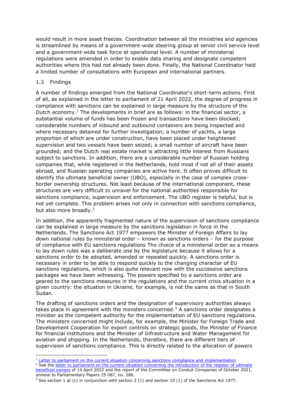would result in more asset freezes. Coordination between all the ministries and agencies is streamlined by means of a government-wide steering group at senior civil service level and a government-wide task force at operational level. A number of ministerial regulations were amended in order to enable data sharing and designate competent authorities where this had not already been done. Finally, the National Coordinator held a limited number of consultations with European and international partners.

## <span id="page-3-0"></span>1.3 Findings

A number of findings emerged from the National Coordinator's short-term actions. First of all, as explained in the letter to parliament of 21 April 2022, the degree of progress in compliance with sanctions can be explained in large measure by the structure of the Dutch economy.<sup>1</sup> The developments in brief are as follows: in the financial sector, a substantial volume of funds has been frozen and transactions have been blocked; considerable numbers of inbound and outbound containers are being inspected and where necessary detained for further investigation; a number of yachts, a large proportion of which are under construction, have been placed under heightened supervision and two vessels have been seized; a small number of aircraft have been grounded; and the Dutch real estate market is attracting little interest from Russians subject to sanctions. In addition, there are a considerable number of Russian holding companies that, while registered in the Netherlands, hold most if not all of their assets abroad, and Russian operating companies are active here. It often proves difficult to identify the ultimate beneficial owner (UBO), especially in the case of complex crossborder ownership structures. Not least because of the international component, these structures are very difficult to unravel for the national authorities responsible for sanctions compliance, supervision and enforcement. The UBO register is helpful, but is not yet complete. This problem arises not only in connection with sanctions compliance, but also more broadly.<sup>2</sup>

In addition, the apparently fragmented nature of the supervision of sanctions compliance can be explained in large measure by the sanctions legislation in force in the Netherlands. The Sanctions Act 1977 empowers the Minister of Foreign Affairs to lay down national rules by ministerial order – known as sanctions orders – for the purpose of compliance with EU sanctions regulations The choice of a ministerial order as a means to lay down rules was a deliberate one by the legislature because it allows for a sanctions order to be adopted, amended or repealed quickly. A sanctions order is necessary in order to be able to respond quickly to the changing character of EU sanctions regulations, which is also quite relevant now with the successive sanctions packages we have been witnessing. The powers specified by a sanctions order are geared to the sanctions measures in the regulations and the current crisis situation in a given country: the situation in Ukraine, for example, is not the same as that in South Sudan.

The drafting of sanctions orders and the designation of supervisory authorities always takes place in agreement with the ministers concerned.<sup>3</sup> A sanctions order designates a minister as the competent authority for the implementation of EU sanctions regulations. The ministers concerned might include, for example, the Minister for Foreign Trade and Development Cooperation for export controls on strategic goods, the Minister of Finance for financial institutions and the Minister of Infrastructure and Water Management for aviation and shipping. In the Netherlands, therefore, there are different tiers of supervision of sanctions compliance. This is directly related to the allocation of powers

<sup>2</sup> See the letter to parliament on the current situation concerning the introduction of the register of ultimate [beneficial owners](file:///C:/Users/wiers.jochem/Downloads/kamerbrief-over-stand-van-zaken-invoering-van-het-register-met-gegevens-van-uiteindelijk-belanghebbend%20(2).pdf) of 14 April 2022 and the report of the Committee on Conduit Companies of October 2021, annexe to Parliamentary Papers 25 087, no. 286.

<sup>&</sup>lt;sup>1</sup> [Letter to parliament on the current situation concerning sanctions compliance and implementation](https://www.rijksoverheid.nl/documenten/kamerstukken/2022/04/22/kamerbrief-inzake-stand-van-zaken-sanctienaleving-en-implementatie)

<sup>&</sup>lt;sup>3</sup> See section 1 at (c) in conjunction with section 2 (1) and section 10 (1) of the Sanctions Act 1977.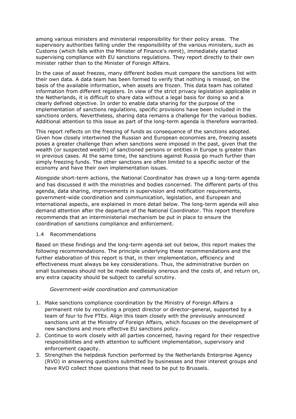among various ministers and ministerial responsibility for their policy areas. The supervisory authorities falling under the responsibility of the various ministers, such as Customs (which falls within the Minister of Finance's remit), immediately started supervising compliance with EU sanctions regulations. They report directly to their own minister rather than to the Minister of Foreign Affairs.

In the case of asset freezes, many different bodies must compare the sanctions list with their own data. A data team has been formed to verify that nothing is missed, on the basis of the available information, when assets are frozen. This data team has collated information from different registers. In view of the strict privacy legislation applicable in the Netherlands, it is difficult to share data without a legal basis for doing so and a clearly defined objective. In order to enable data sharing for the purpose of the implementation of sanctions regulations, specific provisions have been included in the sanctions orders. Nevertheless, sharing data remains a challenge for the various bodies. Additional attention to this issue as part of the long-term agenda is therefore warranted.

This report reflects on the freezing of funds as consequence of the sanctions adopted. Given how closely intertwined the Russian and European economies are, freezing assets poses a greater challenge than when sanctions were imposed in the past, given that the wealth (or suspected wealth) of sanctioned persons or entities in Europe is greater than in previous cases. At the same time, the sanctions against Russia go much further than simply freezing funds. The other sanctions are often limited to a specific sector of the economy and have their own implementation issues.

Alongside short-term actions, the National Coordinator has drawn up a long-term agenda and has discussed it with the ministries and bodies concerned. The different parts of this agenda, data sharing, improvements in supervision and notification requirements, government-wide coordination and communication, legislation, and European and international aspects, are explained in more detail below. The long-term agenda will also demand attention after the departure of the National Coordinator. This report therefore recommends that an interministerial mechanism be put in place to ensure the coordination of sanctions compliance and enforcement.

#### <span id="page-4-0"></span>1.4 Recommendations

Based on these findings and the long-term agenda set out below, this report makes the following recommendations. The principle underlying these recommendations and the further elaboration of this report is that, in their implementation, efficiency and effectiveness must always be key considerations. Thus, the administrative burden on small businesses should not be made needlessly onerous and the costs of, and return on, any extra capacity should be subject to careful scrutiny.

## *Government-wide coordination and communication*

- <span id="page-4-1"></span>1. Make sanctions compliance coordination by the Ministry of Foreign Affairs a permanent role by recruiting a project director or director-general, supported by a team of four to five FTEs. Align this team closely with the previously announced sanctions unit at the Ministry of Foreign Affairs, which focuses on the development of new sanctions and more effective EU sanctions policy.
- 2. Continue to work closely with all parties concerned, having regard for their respective responsibilities and with attention to sufficient implementation, supervisory and enforcement capacity.
- 3. Strengthen the helpdesk function performed by the Netherlands Enterprise Agency (RVO) in answering questions submitted by businesses and their interest groups and have RVO collect those questions that need to be put to Brussels.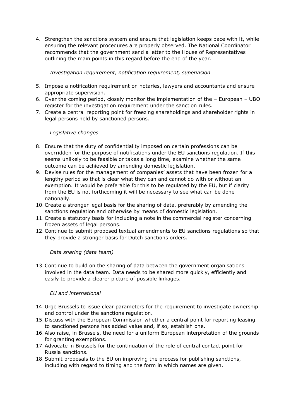4. Strengthen the sanctions system and ensure that legislation keeps pace with it, while ensuring the relevant procedures are properly observed. The National Coordinator recommends that the government send a letter to the House of Representatives outlining the main points in this regard before the end of the year.

*Investigation requirement, notification requirement, supervision*

- <span id="page-5-0"></span>5. Impose a notification requirement on notaries, lawyers and accountants and ensure appropriate supervision.
- 6. Over the coming period, closely monitor the implementation of the European UBO register for the investigation requirement under the sanction rules.
- 7. Create a central reporting point for freezing shareholdings and shareholder rights in legal persons held by sanctioned persons.

## *Legislative changes*

- <span id="page-5-1"></span>8. Ensure that the duty of confidentiality imposed on certain professions can be overridden for the purpose of notifications under the EU sanctions regulation. If this seems unlikely to be feasible or takes a long time, examine whether the same outcome can be achieved by amending domestic legislation.
- 9. Devise rules for the management of companies' assets that have been frozen for a lengthy period so that is clear what they can and cannot do with or without an exemption. It would be preferable for this to be regulated by the EU, but if clarity from the EU is not forthcoming it will be necessary to see what can be done nationally.
- 10.Create a stronger legal basis for the sharing of data, preferably by amending the sanctions regulation and otherwise by means of domestic legislation.
- 11.Create a statutory basis for including a note in the commercial register concerning frozen assets of legal persons.
- 12.Continue to submit proposed textual amendments to EU sanctions regulations so that they provide a stronger basis for Dutch sanctions orders.

## <span id="page-5-2"></span>*Data sharing (data team)*

13.Continue to build on the sharing of data between the government organisations involved in the data team. Data needs to be shared more quickly, efficiently and easily to provide a clearer picture of possible linkages.

## <span id="page-5-3"></span>*EU and international*

- 14. Urge Brussels to issue clear parameters for the requirement to investigate ownership and control under the sanctions regulation.
- 15. Discuss with the European Commission whether a central point for reporting leasing to sanctioned persons has added value and, if so, establish one.
- 16.Also raise, in Brussels, the need for a uniform European interpretation of the grounds for granting exemptions.
- 17.Advocate in Brussels for the continuation of the role of central contact point for Russia sanctions.
- 18.Submit proposals to the EU on improving the process for publishing sanctions, including with regard to timing and the form in which names are given.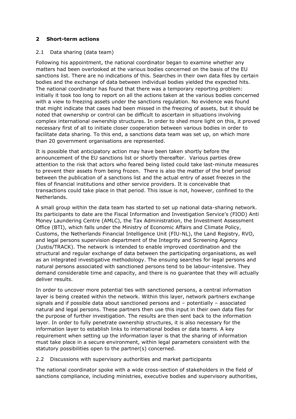## <span id="page-6-0"></span>**2 Short-term actions**

## <span id="page-6-1"></span>2.1 Data sharing (data team)

Following his appointment, the national coordinator began to examine whether any matters had been overlooked at the various bodies concerned on the basis of the EU sanctions list. There are no indications of this. Searches in their own data files by certain bodies and the exchange of data between individual bodies yielded the expected hits. The national coordinator has found that there was a temporary reporting problem: initially it took too long to report on all the actions taken at the various bodies concerned with a view to freezing assets under the sanctions regulation. No evidence was found that might indicate that cases had been missed in the freezing of assets, but it should be noted that ownership or control can be difficult to ascertain in situations involving complex international ownership structures. In order to shed more light on this, it proved necessary first of all to initiate closer cooperation between various bodies in order to facilitate data sharing. To this end, a sanctions data team was set up, on which more than 20 government organisations are represented.

It is possible that anticipatory action may have been taken shortly before the announcement of the EU sanctions list or shortly thereafter. Various parties drew attention to the risk that actors who feared being listed could take last-minute measures to prevent their assets from being frozen. There is also the matter of the brief period between the publication of a sanctions list and the actual entry of asset freezes in the files of financial institutions and other service providers. It is conceivable that transactions could take place in that period. This issue is not, however, confined to the Netherlands.

A small group within the data team has started to set up national data-sharing network. Its participants to date are the Fiscal Information and Investigation Service's (FIOD) Anti Money Laundering Centre (AMLC), the Tax Administration, the Investment Assessment Office (BTI), which falls under the Ministry of Economic Affairs and Climate Policy, Customs, the Netherlands Financial Intelligence Unit (FIU-NL), the Land Registry, RVO, and legal persons supervision department of the Integrity and Screening Agency (Justis/TRACK). The network is intended to enable improved coordination and the structural and regular exchange of data between the participating organisations, as well as an integrated investigative methodology. The ensuing searches for legal persons and natural persons associated with sanctioned persons tend to be labour-intensive. They demand considerable time and capacity, and there is no guarantee that they will actually deliver results.

In order to uncover more potential ties with sanctioned persons, a central information layer is being created within the network. Within this layer, network partners exchange signals and if possible data about sanctioned persons and – potentially – associated natural and legal persons. These partners then use this input in their own data files for the purpose of further investigation. The results are then sent back to the information layer. In order to fully penetrate ownership structures, it is also necessary for the information layer to establish links to international bodies or data teams. A key requirement when setting up the information layer is that the sharing of information must take place in a secure environment, within legal parameters consistent with the statutory possibilities open to the partner(s) concerned.

## <span id="page-6-2"></span>2.2 Discussions with supervisory authorities and market participants

The national coordinator spoke with a wide cross-section of stakeholders in the field of sanctions compliance, including ministries, executive bodies and supervisory authorities,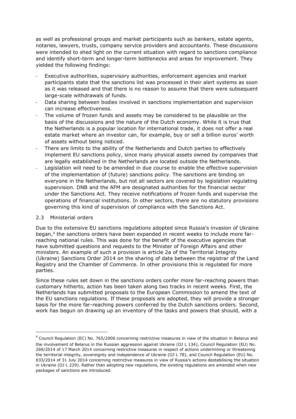as well as professional groups and market participants such as bankers, estate agents, notaries, lawyers, trusts, company service providers and accountants. These discussions were intended to shed light on the current situation with regard to sanctions compliance and identify short-term and longer-term bottlenecks and areas for improvement. They yielded the following findings:

- Executive authorities, supervisory authorities, enforcement agencies and market participants state that the sanctions list was processed in their alert systems as soon as it was released and that there is no reason to assume that there were subsequent large-scale withdrawals of funds.
- Data sharing between bodies involved in sanctions implementation and supervision can increase effectiveness.
- The volume of frozen funds and assets may be considered to be plausible on the basis of the discussions and the nature of the Dutch economy. While it is true that the Netherlands is a popular location for international trade, it does not offer a real estate market where an investor can, for example, buy or sell a billion euros' worth of assets without being noticed.
- There are limits to the ability of the Netherlands and Dutch parties to effectively implement EU sanctions policy, since many physical assets owned by companies that are legally established in the Netherlands are located outside the Netherlands.
- Legislation will need to be amended in due course to enable the effective supervision of the implementation of (future) sanctions policy. The sanctions are binding on everyone in the Netherlands, but not all sectors are covered by legislation regulating supervision. DNB and the AFM are designated authorities for the financial sector under the Sanctions Act. They receive notifications of frozen funds and supervise the operations of financial institutions. In other sectors, there are no statutory provisions governing this kind of supervision of compliance with the Sanctions Act.

#### <span id="page-7-0"></span>2.3 Ministerial orders

Due to the extensive EU sanctions regulations adopted since Russia's invasion of Ukraine began,<sup>4</sup> the sanctions orders have been expanded in recent weeks to include more farreaching national rules. This was done for the benefit of the executive agencies that have submitted questions and requests to the Minister of Foreign Affairs and other ministers. An example of such a provision is article 2a of the Territorial Integrity (Ukraine) Sanctions Order 2014 on the sharing of data between the registrar of the Land Registry and the Chamber of Commerce. In other provisions this is regulated for more parties.

Since these rules set down in the sanctions orders confer more far-reaching powers than customary hitherto, action has been taken along two tracks in recent weeks. First, the Netherlands has submitted proposals to the European Commission to amend the text of the EU sanctions regulations. If these proposals are adopted, they will provide a stronger basis for the more far-reaching powers conferred by the Dutch sanctions orders. Second, work has begun on drawing up an inventory of the tasks and powers that should, with a

<sup>4</sup> Council Regulation (EC) No. 765/2006 concerning restrictive measures in view of the situation in Belarus and the involvement of Belarus in the Russian aggression against Ukraine (OJ L 134), Council Regulation (EU) No. 269/2014 of 17 March 2014 concerning restrictive measures in respect of actions undermining or threatening the territorial integrity, sovereignty and independence of Ukraine (OJ L 78), and Council Regulation (EU) No. 833/2014 of 31 July 2014 concerning restrictive measures in view of Russia's actions destabilising the situation in Ukraine (OJ L 229). Rather than adopting new regulations, the existing regulations are amended when new packages of sanctions are introduced.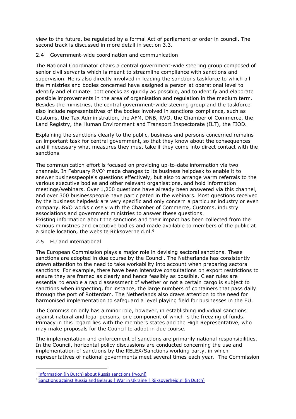view to the future, be regulated by a formal Act of parliament or order in council. The second track is discussed in more detail in section 3.3.

#### <span id="page-8-0"></span>2.4 Government-wide coordination and communication

The National Coordinator chairs a central government-wide steering group composed of senior civil servants which is meant to streamline compliance with sanctions and supervision. He is also directly involved in leading the sanctions taskforce to which all the ministries and bodies concerned have assigned a person at operational level to identify and eliminate bottlenecks as quickly as possible, and to identify and elaborate possible improvements in the area of organisation and regulation in the medium term. Besides the ministries, the central government-wide steering group and the taskforce also include representatives of the bodies involved in sanctions compliance, such as Customs, the Tax Administration, the AFM, DNB, RVO, the Chamber of Commerce, the Land Registry, the Human Environment and Transport Inspectorate (ILT), the FIOD.

Explaining the sanctions clearly to the public, business and persons concerned remains an important task for central government, so that they know about the consequences and if necessary what measures they must take if they come into direct contact with the sanctions.

The communication effort is focused on providing up-to-date information via two channels. In February RVO<sup>5</sup> made changes to its business helpdesk to enable it to answer businesspeople's questions effectively, but also to arrange warm referrals to the various executive bodies and other relevant organisations, and hold information meetings/webinars. Over 1,200 questions have already been answered via this channel, and over 300 businesspeople have participated in the webinars. Most questions received by the business helpdesk are very specific and only concern a particular industry or even company. RVO works closely with the Chamber of Commerce, Customs, industry associations and government ministries to answer these questions. Existing information about the sanctions and their impact has been collected from the

various ministries and executive bodies and made available to members of the public at a single location, the website Rijksoverheid.nl.<sup>6</sup>

#### <span id="page-8-1"></span>2.5 EU and international

The European Commission plays a major role in devising sectoral sanctions. These sanctions are adopted in due course by the Council. The Netherlands has consistently drawn attention to the need to take workability into account when preparing sectoral sanctions. For example, there have been intensive consultations on export restrictions to ensure they are framed as clearly and hence feasibly as possible. Clear rules are essential to enable a rapid assessment of whether or not a certain cargo is subject to sanctions when inspecting, for instance, the large numbers of containers that pass daily through the port of Rotterdam. The Netherlands also draws attention to the need for harmonised implementation to safeguard a level playing field for businesses in the EU.

The Commission only has a minor role, however, in establishing individual sanctions against natural and legal persons, one component of which is the freezing of funds. Primacy in this regard lies with the members states and the High Representative, who may make proposals for the Council to adopt in due course.

The implementation and enforcement of sanctions are primarily national responsibilities. In the Council, horizontal policy discussions are conducted concerning the use and implementation of sanctions by the RELEX/Sanctions working party, in which representatives of national governments meet several times each year. The Commission

<sup>&</sup>lt;sup>5</sup> [Information \(in Dutch\) about Russia sanctions \(rvo.nl\)](https://www.rvo.nl/onderwerpen/landen-en-gebieden/rusland/sancties)

<sup>&</sup>lt;sup>6</sup> [Sanctions against Russia and Belarus | War in Ukraine | Rijksoverheid.nl \(in Dutch\)](https://www.rijksoverheid.nl/onderwerpen/russische-inval-in-oekraine/sancties-tegen-rusland-en-belarus)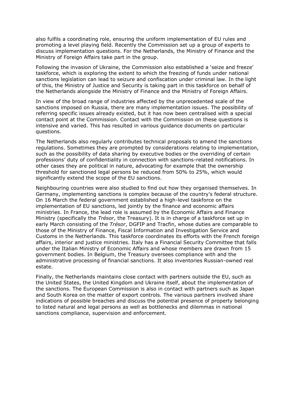also fulfils a coordinating role, ensuring the uniform implementation of EU rules and promoting a level playing field. Recently the Commission set up a group of experts to discuss implementation questions. For the Netherlands, the Ministry of Finance and the Ministry of Foreign Affairs take part in the group.

Following the invasion of Ukraine, the Commission also established a 'seize and freeze' taskforce, which is exploring the extent to which the freezing of funds under national sanctions legislation can lead to seizure and confiscation under criminal law. In the light of this, the Ministry of Justice and Security is taking part in this taskforce on behalf of the Netherlands alongside the Ministry of Finance and the Ministry of Foreign Affairs.

In view of the broad range of industries affected by the unprecedented scale of the sanctions imposed on Russia, there are many implementation issues. The possibility of referring specific issues already existed, but it has now been centralised with a special contact point at the Commission. Contact with the Commission on these questions is intensive and varied. This has resulted in various guidance documents on particular questions.

The Netherlands also regularly contributes technical proposals to amend the sanctions regulations. Sometimes they are prompted by considerations relating to implementation, such as the possibility of data sharing by executive bodies or the overriding of certain professions' duty of confidentiality in connection with sanctions-related notifications. In other cases they are political in nature, advocating for example that the ownership threshold for sanctioned legal persons be reduced from 50% to 25%, which would significantly extend the scope of the EU sanctions.

Neighbouring countries were also studied to find out how they organised themselves. In Germany, implementing sanctions is complex because of the country's federal structure. On 16 March the federal government established a high-level taskforce on the implementation of EU sanctions, led jointly by the finance and economic affairs ministries. In France, the lead role is assumed by the Economic Affairs and Finance Ministry (specifically the *Trésor*, the Treasury). It is in charge of a taskforce set up in early March consisting of the *Trésor*, DGFIP and Tracfin, whose duties are comparable to those of the Ministry of Finance, Fiscal Information and Investigation Service and Customs in the Netherlands. This taskforce coordinates its efforts with the French foreign affairs, interior and justice ministries. Italy has a Financial Security Committee that falls under the Italian Ministry of Economic Affairs and whose members are drawn from 15 government bodies. In Belgium, the Treasury oversees compliance with and the administrative processing of financial sanctions. It also inventories Russian-owned real estate.

Finally, the Netherlands maintains close contact with partners outside the EU, such as the United States, the United Kingdom and Ukraine itself, about the implementation of the sanctions. The European Commission is also in contact with partners such as Japan and South Korea on the matter of export controls. The various partners involved share indications of possible breaches and discuss the potential presence of property belonging to listed natural and legal persons as well as bottlenecks and dilemmas in national sanctions compliance, supervision and enforcement.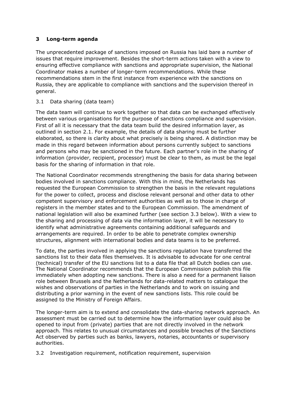## <span id="page-10-0"></span>**3 Long-term agenda**

The unprecedented package of sanctions imposed on Russia has laid bare a number of issues that require improvement. Besides the short-term actions taken with a view to ensuring effective compliance with sanctions and appropriate supervision, the National Coordinator makes a number of longer-term recommendations. While these recommendations stem in the first instance from experience with the sanctions on Russia, they are applicable to compliance with sanctions and the supervision thereof in general.

## <span id="page-10-1"></span>3.1 Data sharing (data team)

The data team will continue to work together so that data can be exchanged effectively between various organisations for the purpose of sanctions compliance and supervision. First of all it is necessary that the data team build the desired information layer, as outlined in section 2.1. For example, the details of data sharing must be further elaborated, so there is clarity about what precisely is being shared. A distinction may be made in this regard between information about persons currently subject to sanctions and persons who may be sanctioned in the future. Each partner's role in the sharing of information (provider, recipient, processor) must be clear to them, as must be the legal basis for the sharing of information in that role.

The National Coordinator recommends strengthening the basis for data sharing between bodies involved in sanctions compliance. With this in mind, the Netherlands has requested the European Commission to strengthen the basis in the relevant regulations for the power to collect, process and disclose relevant personal and other data to other competent supervisory and enforcement authorities as well as to those in charge of registers in the member states and to the European Commission. The amendment of national legislation will also be examined further (see section 3.3 below). With a view to the sharing and processing of data via the information layer, it will be necessary to identify what administrative agreements containing additional safeguards and arrangements are required. In order to be able to penetrate complex ownership structures, alignment with international bodies and data teams is to be preferred.

To date, the parties involved in applying the sanctions regulation have transferred the sanctions list to their data files themselves. It is advisable to advocate for one central (technical) transfer of the EU sanctions list to a data file that all Dutch bodies can use. The National Coordinator recommends that the European Commission publish this file immediately when adopting new sanctions. There is also a need for a permanent liaison role between Brussels and the Netherlands for data-related matters to catalogue the wishes and observations of parties in the Netherlands and to work on issuing and distributing a prior warning in the event of new sanctions lists. This role could be assigned to the Ministry of Foreign Affairs.

The longer-term aim is to extend and consolidate the data-sharing network approach. An assessment must be carried out to determine how the information layer could also be opened to input from (private) parties that are not directly involved in the network approach. This relates to unusual circumstances and possible breaches of the Sanctions Act observed by parties such as banks, lawyers, notaries, accountants or supervisory authorities.

<span id="page-10-2"></span>3.2 Investigation requirement, notification requirement, supervision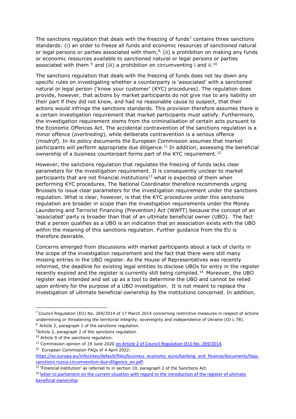The sanctions regulation that deals with the freezing of funds<sup>7</sup> contains three sanctions standards: (i) an order to freeze all funds and economic resources of sanctioned natural or legal persons or parties associated with them, $^{8}$ , (ii) a prohibition on making any funds or economic resources available to sanctioned natural or legal persons or parties associated with them  $9$  and (iii) a prohibition on circumventing i and ii.<sup>10</sup>

The sanctions regulation that deals with the freezing of funds does not lay down any specific rules on investigating whether a counterparty is 'associated' with a sanctioned natural or legal person ('know your customer' (KYC) procedures). The regulation does provide, however, that actions by market participants do not give rise to any liability on their part if they did not know, and had no reasonable cause to suspect, that their actions would infringe the sanctions standards. This provision therefore assumes there is a certain investigation requirement that market participants must satisfy. Furthermore, the investigation requirement stems from the criminalisation of certain acts pursuant to the Economic Offences Act. The accidental contravention of the sanctions regulation is a minor offence (*overtreding*), while deliberate contravention is a serious offence (*misdrijf*). In its policy documents the European Commission assumes that market participants will perform appropriate due diligence.<sup>11</sup> In addition, assessing the beneficial ownership of a business counterpart forms part of the KYC requirement.<sup>12</sup>

However, the sanctions regulation that regulates the freezing of funds lacks clear parameters for the investigation requirement. It is consequently unclear to market participants that are not financial institutions<sup>13</sup> what is expected of them when performing KYC procedures. The National Coordinator therefore recommends urging Brussels to issue clear parameters for the investigation requirement under the sanctions regulation. What is clear, however, is that the KYC procedures under this sanctions regulation are broader in scope than the investigation requirements under the Money Laundering and Terrorist Financing (Prevention) Act (WWFT) because the concept of an 'associated' party is broader than that of an ultimate beneficial owner (UBO). The fact that a person qualifies as a UBO is an indication that an association exists with the UBO within the meaning of this sanctions regulation. Further guidance from the EU is therefore desirable.

Concerns emerged from discussions with market participants about a lack of clarity in the scope of the investigation requirement and the fact that there were still many missing entries in the UBO register. As the House of Representatives was recently informed, the deadline for existing legal entities to disclose UBOs for entry in the register recently expired and the register is currently still being compiled.<sup>14</sup> Moreover, the UBO register was intended and set up as a tool to determine the UBO and cannot be relied upon entirely for the purpose of a UBO investigation. It is not meant to replace the investigation of ultimate beneficial ownership by the institutions concerned. In addition,

 $9$ Article 2, paragraph 2 of the sanctions regulation.

 $7$  Council Regulation (EU) No. 269/2014 of 17 March 2014 concerning restrictive measures in respect of actions undermining or threatening the territorial integrity, sovereignty and independence of Ukraine (OJ L 78). <sup>8</sup> Article 2, paragraph 1 of the sanctions regulation.

<sup>&</sup>lt;sup>10</sup> Article 9 of the sanctions regulation.

<sup>&</sup>lt;sup>11</sup> Commission opinion of 19 June 2020 [on Article 2 of Council Regulation \(EU\) No. 269/2014](https://ec.europa.eu/info/sites/default/files/business_economy_euro/banking_and_finance/documents/200619-opinion-financial-sanctions_nl.pdf).

<sup>&</sup>lt;sup>12</sup> European Commission FAQs of 4 April 2022:

[https://ec.europa.eu/info/sites/default/files/business\\_economy\\_euro/banking\\_and\\_finance/documents/faqs](https://ec.europa.eu/info/sites/default/files/business_economy_euro/banking_and_finance/documents/faqs-sanctions-russia-circumvention-due-diligence_en.pdf)[sanctions-russia-circumvention-due-diligence\\_en.pdf](https://ec.europa.eu/info/sites/default/files/business_economy_euro/banking_and_finance/documents/faqs-sanctions-russia-circumvention-due-diligence_en.pdf).

 $13$  'Financial institution' as referred to in section 10, paragraph 2 of the Sanctions Act.

<sup>&</sup>lt;sup>14</sup> letter to parliament on the current situation with regard to the introduction of the register of ultimate [beneficial ownership](/https:/www.rijksoverheid.nl/documenten/kamerstukken/2022/04/14/kamerbrief-over-stand-van-zaken-invoering-van-het-register-met-gegevens-van-uiteindelijk-belanghebbend)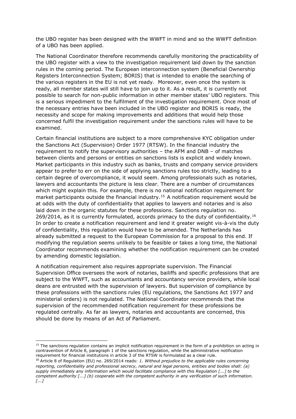the UBO register has been designed with the WWFT in mind and so the WWFT definition of a UBO has been applied.

The National Coordinator therefore recommends carefully monitoring the practicability of the UBO register with a view to the investigation requirement laid down by the sanction rules in the coming period. The European interconnection system (Beneficial Ownership Registers Interconnection System; BORIS) that is intended to enable the searching of the various registers in the EU is not yet ready. Moreover, even once the system is ready, all member states will still have to join up to it. As a result, it is currently not possible to search for non-public information in other member states' UBO registers. This is a serious impediment to the fulfilment of the investigation requirement. Once most of the necessary entries have been included in the UBO register and BORIS is ready, the necessity and scope for making improvements and additions that would help those concerned fulfil the investigation requirement under the sanctions rules will have to be examined.

Certain financial institutions are subject to a more comprehensive KYC obligation under the Sanctions Act (Supervision) Order 1977 (RTSW). In the financial industry the requirement to notify the supervisory authorities – the AFM and DNB – of matches between clients and persons or entities on sanctions lists is explicit and widely known. Market participants in this industry such as banks, trusts and company service providers appear to prefer to err on the side of applying sanctions rules too strictly, leading to a certain degree of overcompliance, it would seem. Among professionals such as notaries, lawyers and accountants the picture is less clear. There are a number of circumstances which might explain this. For example, there is no national notification requirement for market participants outside the financial industry.<sup>15</sup> A notification requirement would be at odds with the duty of confidentiality that applies to lawyers and notaries and is also laid down in the organic statutes for these professions. Sanctions regulation no. 269/2014, as it is currently formulated, accords primacy to the duty of confidentiality.<sup>16</sup> In order to create a notification requirement and lend it greater weight vis-à-vis the duty of confidentiality, this regulation would have to be amended. The Netherlands has already submitted a request to the European Commission for a proposal to this end. If modifying the regulation seems unlikely to be feasible or takes a long time, the National Coordinator recommends examining whether the notification requirement can be created by amending domestic legislation.

A notification requirement also requires appropriate supervision. The Financial Supervision Office oversees the work of notaries, bailiffs and specific professions that are subject to the WWFT, such as accountants and accountancy service providers, while local deans are entrusted with the supervision of lawyers. But supervision of compliance by these professions with the sanctions rules (EU regulations, the Sanctions Act 1977 and ministerial orders) is not regulated. The National Coordinator recommends that the supervision of the recommended notification requirement for these professions be regulated centrally. As far as lawyers, notaries and accountants are concerned, this should be done by means of an Act of Parliament.

<sup>&</sup>lt;sup>15</sup> The sanctions regulation contains an implicit notification requirement in the form of a prohibition on acting in contravention of Article 8, paragraph 1 of the sanctions regulation, while the administrative notification requirement for financial institutions in article 3 of the RTSW is formulated as a clear rule.

<sup>16</sup> Article 8 of Regulation (EU) no. 269/2014 reads: *1. Without prejudice to the applicable rules concerning reporting, confidentiality and professional secrecy, natural and legal persons, entities and bodies shall: (a) supply immediately any information which would facilitate compliance with this Regulation [...] to the competent authority [...] (b) cooperate with the competent authority in any verification of such information. [...]*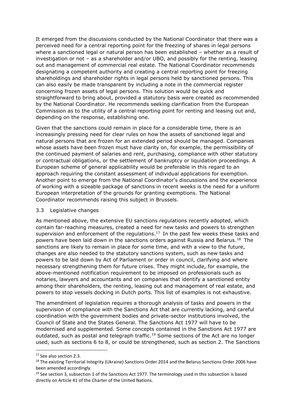It emerged from the discussions conducted by the National Coordinator that there was a perceived need for a central reporting point for the freezing of shares in legal persons where a sanctioned legal or natural person has been established – whether as a result of investigation or not – as a shareholder and/or UBO, and possibly for the renting, leasing out and management of commercial real estate. The National Coordinator recommends designating a competent authority and creating a central reporting point for freezing shareholdings and shareholder rights in legal persons held by sanctioned persons. This can also easily be made transparent by including a note in the commercial register concerning frozen assets of legal persons. This solution would be quick and straightforward to bring about, provided a statutory basis were created as recommended by the National Coordinator. He recommends seeking clarification from the European Commission as to the utility of a central reporting point for renting and leasing out and, depending on the response, establishing one.

Given that the sanctions could remain in place for a considerable time, there is an increasingly pressing need for clear rules on how the assets of sanctioned legal and natural persons that are frozen for an extended period should be managed. Companies whose assets have been frozen must have clarity on, for example, the permissibility of the continued payment of salaries and rent, purchasing, compliance with other statutory or contractual obligations, or the settlement of bankruptcy or liquidation proceedings. A European scheme of general applicability would be preferable in this regard to an approach requiring the constant assessment of individual applications for exemption. Another point to emerge from the National Coordinator's discussions and the experience of working with a sizeable package of sanctions in recent weeks is the need for a uniform European interpretation of the grounds for granting exemptions. The National Coordinator recommends raising this subject in Brussels.

#### <span id="page-13-0"></span>3.3 Legislative changes

As mentioned above, the extensive EU sanctions regulations recently adopted, which contain far-reaching measures, created a need for new tasks and powers to strengthen supervision and enforcement of the regulations.<sup>17</sup> In the past few weeks these tasks and powers have been laid down in the sanctions orders against Russia and Belarus.<sup>18</sup> The sanctions are likely to remain in place for some time, and with a view to the future, changes are also needed to the statutory sanctions system, such as new tasks and powers to be laid down by Act of Parliament or order in council, clarifying and where necessary strengthening them for future crises. They might include, for example, the above-mentioned notification requirement to be imposed on professionals such as notaries, lawyers and accountants and on companies that identify a sanctioned entity among their shareholders, the renting, leasing out and management of real estate, and powers to stop vessels docking in Dutch ports. This list of examples is not exhaustive.

The amendment of legislation requires a thorough analysis of tasks and powers in the supervision of compliance with the Sanctions Act that are currently lacking, and careful coordination with the government bodies and private-sector institutions involved, the Council of State and the States General. The Sanctions Act 1977 will have to be modernised and supplemented. Some concepts contained in the Sanctions Act 1977 are outdated, such as postal and telegraph traffic.<sup>19</sup> Some sections of the Act are no longer used, such as sections 6 to 8, or could be strengthened, such as section 2. The Sanctions

<sup>&</sup>lt;sup>17</sup> See also section 2.3.

<sup>&</sup>lt;sup>18</sup> The existing Territorial Integrity (Ukraine) Sanctions Order 2014 and the Belarus Sanctions Order 2006 have been amended accordingly.

 $19$  See section 3, subsection 1 of the Sanctions Act 1977. The terminology used in this subsection is based directly on Article 41 of the Charter of the United Nations.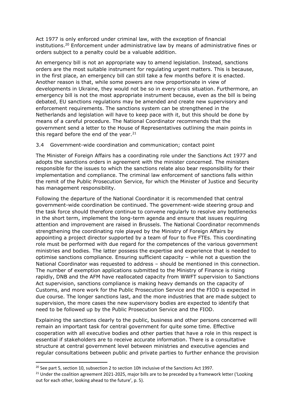Act 1977 is only enforced under criminal law, with the exception of financial institutions.<sup>20</sup> Enforcement under administrative law by means of administrative fines or orders subject to a penalty could be a valuable addition.

An emergency bill is not an appropriate way to amend legislation. Instead, sanctions orders are the most suitable instrument for regulating urgent matters. This is because, in the first place, an emergency bill can still take a few months before it is enacted. Another reason is that, while some powers are now proportionate in view of developments in Ukraine, they would not be so in every crisis situation. Furthermore, an emergency bill is not the most appropriate instrument because, even as the bill is being debated, EU sanctions regulations may be amended and create new supervisory and enforcement requirements. The sanctions system can be strengthened in the Netherlands and legislation will have to keep pace with it, but this should be done by means of a careful procedure. The National Coordinator recommends that the government send a letter to the House of Representatives outlining the main points in this regard before the end of the year. $21$ 

#### <span id="page-14-0"></span>3.4 Government-wide coordination and communication; contact point

The Minister of Foreign Affairs has a coordinating role under the Sanctions Act 1977 and adopts the sanctions orders in agreement with the minister concerned. The ministers responsible for the issues to which the sanctions relate also bear responsibility for their implementation and compliance. The criminal law enforcement of sanctions falls within the remit of the Public Prosecution Service, for which the Minister of Justice and Security has management responsibility.

Following the departure of the National Coordinator it is recommended that central government-wide coordination be continued. The government-wide steering group and the task force should therefore continue to convene regularly to resolve any bottlenecks in the short term, implement the long-term agenda and ensure that issues requiring attention and improvement are raised in Brussels. The National Coordinator recommends strengthening the coordinating role played by the Ministry of Foreign Affairs by appointing a project director supported by a team of four to five FTEs. This coordinating role must be performed with due regard for the competences of the various government ministries and bodies. The latter possess the expertise and experience that is needed to optimise sanctions compliance. Ensuring sufficient capacity – while not a question the National Coordinator was requested to address – should be mentioned in this connection. The number of exemption applications submitted to the Ministry of Finance is rising rapidly, DNB and the AFM have reallocated capacity from WWFT supervision to Sanctions Act supervision, sanctions compliance is making heavy demands on the capacity of Customs, and more work for the Public Prosecution Service and the FIOD is expected in due course. The longer sanctions last, and the more industries that are made subject to supervision, the more cases the new supervisory bodies are expected to identify that need to be followed up by the Public Prosecution Service and the FIOD.

Explaining the sanctions clearly to the public, business and other persons concerned will remain an important task for central government for quite some time. Effective cooperation with all executive bodies and other parties that have a role in this respect is essential if stakeholders are to receive accurate information. There is a consultative structure at central government level between ministries and executive agencies and regular consultations between public and private parties to further enhance the provision

 $20$  See part 5, section 10, subsection 2 to section 10h inclusive of the Sanctions Act 1997.

<sup>&</sup>lt;sup>21</sup> Under the coalition agreement 2021-2025, major bills are to be preceded by a framework letter ('Looking out for each other, looking ahead to the future', p. 5).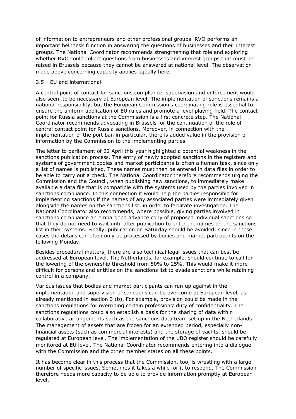of information to entrepreneurs and other professional groups. RVO performs an important helpdesk function in answering the questions of businesses and their interest groups. The National Coordinator recommends strengthening that role and exploring whether RVO could collect questions from businesses and interest groups that must be raised in Brussels because they cannot be answered at national level. The observation made above concerning capacity applies equally here.

#### <span id="page-15-0"></span>3.5 EU and international

A central point of contact for sanctions compliance, supervision and enforcement would also seem to be necessary at European level. The implementation of sanctions remains a national responsibility, but the European Commission's coordinating role is essential to ensure the uniform application of EU rules and promote a level playing field. The contact point for Russia sanctions at the Commission is a first concrete step. The National Coordinator recommends advocating in Brussels for the continuation of the role of central contact point for Russia sanctions. Moreover, in connection with the implementation of the port ban in particular, there is added value in the provision of information by the Commission to the implementing parties.

The letter to parliament of 22 April this year highlighted a potential weakness in the sanctions publication process. The entry of newly adopted sanctions in the registers and systems of government bodies and market participants is often a human task, since only a list of names is published. These names must then be entered in data files in order to be able to carry out a check. The National Coordinator therefore recommends urging the Commission and the Council, when publishing new sanctions, to immediately make available a data file that is compatible with the systems used by the parties involved in sanctions compliance. In this connection it would help the parties responsible for implementing sanctions if the names of any associated parties were immediately given alongside the names on the sanctions list, in order to facilitate investigation. The National Coordinator also recommends, where possible, giving parties involved in sanctions compliance an embargoed advance copy of proposed individual sanctions so that they do not need to wait until after publication to enter the names on the sanctions list in their systems. Finally, publication on Saturday should be avoided, since in these cases the details can often only be processed by bodies and market participants on the following Monday.

Besides procedural matters, there are also technical legal issues that can best be addressed at European level. The Netherlands, for example, should continue to call for the lowering of the ownership threshold from 50% to 25%. This would make it more difficult for persons and entities on the sanctions list to evade sanctions while retaining control in a company.

Various issues that bodies and market participants can run up against in the implementation and supervision of sanctions can be overcome at European level, as already mentioned in section 3 (b). For example, provision could be made in the sanctions regulations for overriding certain professions' duty of confidentiality. The sanctions regulations could also establish a basis for the sharing of data within collaborative arrangements such as the sanctions data team set up in the Netherlands. The management of assets that are frozen for an extended period, especially nonfinancial assets (such as commercial interests) and the storage of yachts, should be regulated at European level. The implementation of the UBO register should be carefully monitored at EU level. The National Coordinator recommends entering into a dialogue with the Commission and the other member states on all these points.

It has become clear in this process that the Commission, too, is wrestling with a large number of specific issues. Sometimes it takes a while for it to respond. The Commission therefore needs more capacity to be able to provide information promptly at European level.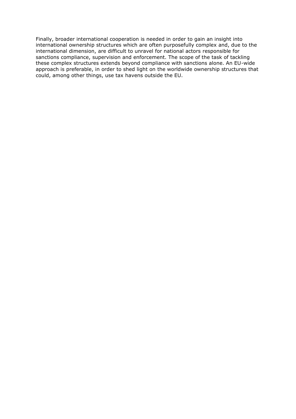Finally, broader international cooperation is needed in order to gain an insight into international ownership structures which are often purposefully complex and, due to the international dimension, are difficult to unravel for national actors responsible for sanctions compliance, supervision and enforcement. The scope of the task of tackling these complex structures extends beyond compliance with sanctions alone. An EU-wide approach is preferable, in order to shed light on the worldwide ownership structures that could, among other things, use tax havens outside the EU.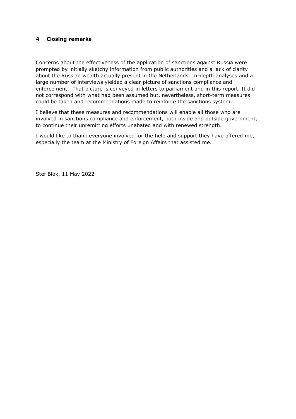#### <span id="page-17-0"></span>**4 Closing remarks**

Concerns about the effectiveness of the application of sanctions against Russia were prompted by initially sketchy information from public authorities and a lack of clarity about the Russian wealth actually present in the Netherlands. In-depth analyses and a large number of interviews yielded a clear picture of sanctions compliance and enforcement. That picture is conveyed in letters to parliament and in this report. It did not correspond with what had been assumed but, nevertheless, short-term measures could be taken and recommendations made to reinforce the sanctions system.

I believe that these measures and recommendations will enable all those who are involved in sanctions compliance and enforcement, both inside and outside government, to continue their unremitting efforts unabated and with renewed strength.

I would like to thank everyone involved for the help and support they have offered me, especially the team at the Ministry of Foreign Affairs that assisted me.

Stef Blok, 11 May 2022